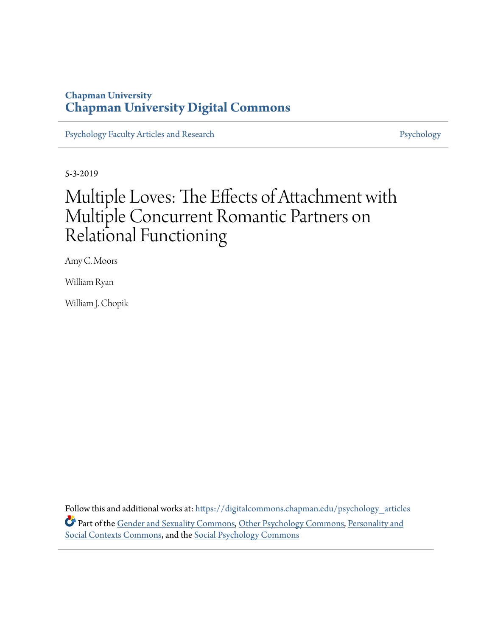## **Chapman University [Chapman University Digital Commons](https://digitalcommons.chapman.edu?utm_source=digitalcommons.chapman.edu%2Fpsychology_articles%2F181&utm_medium=PDF&utm_campaign=PDFCoverPages)**

[Psychology Faculty Articles and Research](https://digitalcommons.chapman.edu/psychology_articles?utm_source=digitalcommons.chapman.edu%2Fpsychology_articles%2F181&utm_medium=PDF&utm_campaign=PDFCoverPages) **[Psychology](https://digitalcommons.chapman.edu/psychology?utm_source=digitalcommons.chapman.edu%2Fpsychology_articles%2F181&utm_medium=PDF&utm_campaign=PDFCoverPages)** Psychology

5-3-2019

# Multiple Loves: The Effects of Attachment with Multiple Concurrent Romantic Partners on Relational Functioning

Amy C. Moors

William Ryan

William J. Chopik

Follow this and additional works at: [https://digitalcommons.chapman.edu/psychology\\_articles](https://digitalcommons.chapman.edu/psychology_articles?utm_source=digitalcommons.chapman.edu%2Fpsychology_articles%2F181&utm_medium=PDF&utm_campaign=PDFCoverPages) Part of the [Gender and Sexuality Commons](http://network.bepress.com/hgg/discipline/420?utm_source=digitalcommons.chapman.edu%2Fpsychology_articles%2F181&utm_medium=PDF&utm_campaign=PDFCoverPages), [Other Psychology Commons](http://network.bepress.com/hgg/discipline/415?utm_source=digitalcommons.chapman.edu%2Fpsychology_articles%2F181&utm_medium=PDF&utm_campaign=PDFCoverPages), [Personality and](http://network.bepress.com/hgg/discipline/413?utm_source=digitalcommons.chapman.edu%2Fpsychology_articles%2F181&utm_medium=PDF&utm_campaign=PDFCoverPages) [Social Contexts Commons](http://network.bepress.com/hgg/discipline/413?utm_source=digitalcommons.chapman.edu%2Fpsychology_articles%2F181&utm_medium=PDF&utm_campaign=PDFCoverPages), and the [Social Psychology Commons](http://network.bepress.com/hgg/discipline/414?utm_source=digitalcommons.chapman.edu%2Fpsychology_articles%2F181&utm_medium=PDF&utm_campaign=PDFCoverPages)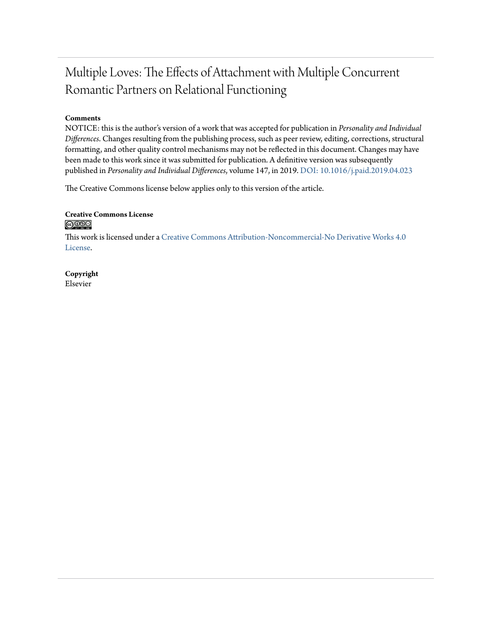## Multiple Loves: The Effects of Attachment with Multiple Concurrent Romantic Partners on Relational Functioning

#### **Comments**

NOTICE: this is the author's version of a work that was accepted for publication in *Personality and Individual Differences*. Changes resulting from the publishing process, such as peer review, editing, corrections, structural formatting, and other quality control mechanisms may not be reflected in this document. Changes may have been made to this work since it was submitted for publication. A definitive version was subsequently published in *Personality and Individual Differences*, volume 147, in 2019. [DOI: 10.1016/j.paid.2019.04.023](https://doi.org/10.1016/j.paid.2019.04.023)

The Creative Commons license below applies only to this version of the article.

#### **Creative Commons License**  $\bigcirc$   $\circ$

This work is licensed under a [Creative Commons Attribution-Noncommercial-No Derivative Works 4.0](https://creativecommons.org/licenses/by-nc-nd/4.0/) [License.](https://creativecommons.org/licenses/by-nc-nd/4.0/)

**Copyright** Elsevier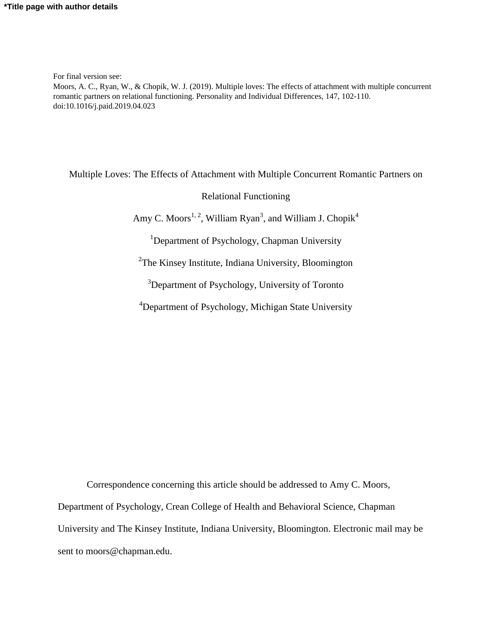For final version see:

Moors, A. C., Ryan, W., & Chopik, W. J. (2019). Multiple loves: The effects of attachment with multiple concurrent romantic partners on relational functioning. Personality and Individual Differences, 147, 102-110. doi:10.1016/j.paid.2019.04.023

Multiple Loves: The Effects of Attachment with Multiple Concurrent Romantic Partners on

Relational Functioning

Amy C. Moors<sup>1, 2</sup>, William Ryan<sup>3</sup>, and William J. Chopik<sup>4</sup>

<sup>1</sup>Department of Psychology, Chapman University

<sup>2</sup>The Kinsey Institute, Indiana University, Bloomington

<sup>3</sup>Department of Psychology, University of Toronto

<sup>4</sup>Department of Psychology, Michigan State University

Correspondence concerning this article should be addressed to Amy C. Moors, Department of Psychology, Crean College of Health and Behavioral Science, Chapman University and The Kinsey Institute, Indiana University, Bloomington. Electronic mail may be sent to moors@chapman.edu.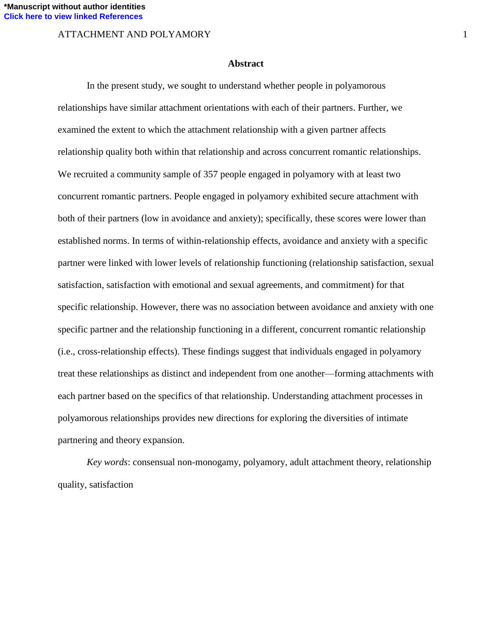#### **Abstract**

In the present study, we sought to understand whether people in polyamorous relationships have similar attachment orientations with each of their partners. Further, we examined the extent to which the attachment relationship with a given partner affects relationship quality both within that relationship and across concurrent romantic relationships. We recruited a community sample of 357 people engaged in polyamory with at least two concurrent romantic partners. People engaged in polyamory exhibited secure attachment with both of their partners (low in avoidance and anxiety); specifically, these scores were lower than established norms. In terms of within-relationship effects, avoidance and anxiety with a specific partner were linked with lower levels of relationship functioning (relationship satisfaction, sexual satisfaction, satisfaction with emotional and sexual agreements, and commitment) for that specific relationship. However, there was no association between avoidance and anxiety with one specific partner and the relationship functioning in a different, concurrent romantic relationship (i.e., cross-relationship effects). These findings suggest that individuals engaged in polyamory treat these relationships as distinct and independent from one another—forming attachments with each partner based on the specifics of that relationship. Understanding attachment processes in polyamorous relationships provides new directions for exploring the diversities of intimate partnering and theory expansion.

*Key words*: consensual non-monogamy, polyamory, adult attachment theory, relationship quality, satisfaction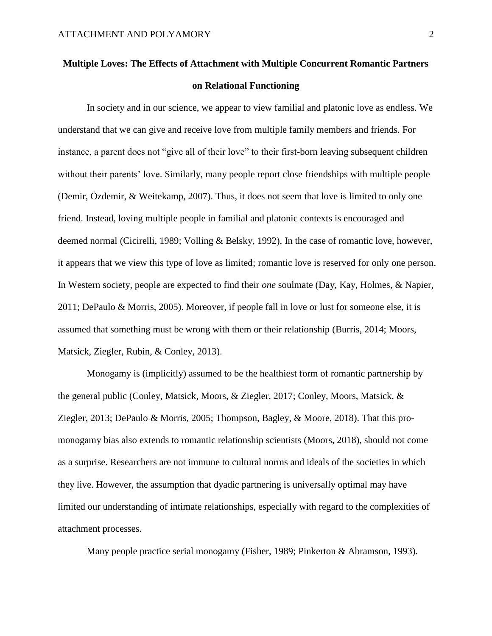## **Multiple Loves: The Effects of Attachment with Multiple Concurrent Romantic Partners on Relational Functioning**

In society and in our science, we appear to view familial and platonic love as endless. We understand that we can give and receive love from multiple family members and friends. For instance, a parent does not "give all of their love" to their first-born leaving subsequent children without their parents' love. Similarly, many people report close friendships with multiple people (Demir, Özdemir, & Weitekamp, 2007). Thus, it does not seem that love is limited to only one friend. Instead, loving multiple people in familial and platonic contexts is encouraged and deemed normal (Cicirelli, 1989; Volling & Belsky, 1992). In the case of romantic love, however, it appears that we view this type of love as limited; romantic love is reserved for only one person. In Western society, people are expected to find their *one* soulmate (Day, Kay, Holmes, & Napier, 2011; DePaulo & Morris, 2005). Moreover, if people fall in love or lust for someone else, it is assumed that something must be wrong with them or their relationship (Burris, 2014; Moors, Matsick, Ziegler, Rubin, & Conley, 2013).

Monogamy is (implicitly) assumed to be the healthiest form of romantic partnership by the general public (Conley, Matsick, Moors, & Ziegler, 2017; Conley, Moors, Matsick, & Ziegler, 2013; DePaulo & Morris, 2005; Thompson, Bagley, & Moore, 2018). That this promonogamy bias also extends to romantic relationship scientists (Moors, 2018), should not come as a surprise. Researchers are not immune to cultural norms and ideals of the societies in which they live. However, the assumption that dyadic partnering is universally optimal may have limited our understanding of intimate relationships, especially with regard to the complexities of attachment processes.

Many people practice serial monogamy (Fisher, 1989; Pinkerton & Abramson, 1993).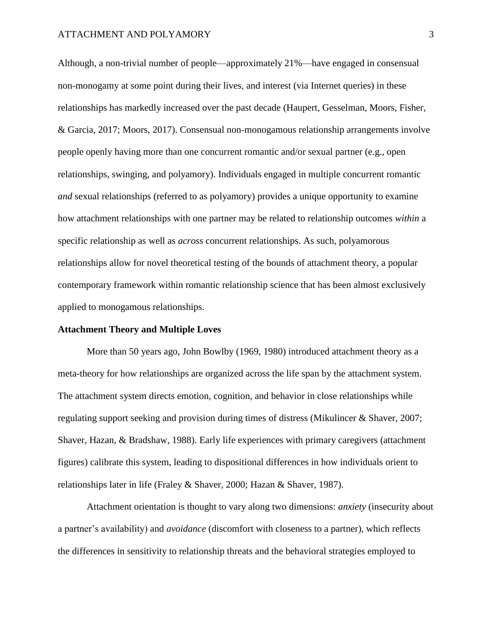Although, a non-trivial number of people—approximately 21%—have engaged in consensual non-monogamy at some point during their lives, and interest (via Internet queries) in these relationships has markedly increased over the past decade (Haupert, Gesselman, Moors, Fisher, & Garcia, 2017; Moors, 2017). Consensual non-monogamous relationship arrangements involve people openly having more than one concurrent romantic and/or sexual partner (e.g., open relationships, swinging, and polyamory). Individuals engaged in multiple concurrent romantic *and* sexual relationships (referred to as polyamory) provides a unique opportunity to examine how attachment relationships with one partner may be related to relationship outcomes *within* a specific relationship as well as *across* concurrent relationships. As such, polyamorous relationships allow for novel theoretical testing of the bounds of attachment theory, a popular contemporary framework within romantic relationship science that has been almost exclusively applied to monogamous relationships.

#### **Attachment Theory and Multiple Loves**

More than 50 years ago, John Bowlby (1969, 1980) introduced attachment theory as a meta-theory for how relationships are organized across the life span by the attachment system. The attachment system directs emotion, cognition, and behavior in close relationships while regulating support seeking and provision during times of distress (Mikulincer & Shaver, 2007; Shaver, Hazan, & Bradshaw, 1988). Early life experiences with primary caregivers (attachment figures) calibrate this system, leading to dispositional differences in how individuals orient to relationships later in life (Fraley & Shaver, 2000; Hazan & Shaver, 1987).

Attachment orientation is thought to vary along two dimensions: *anxiety* (insecurity about a partner's availability) and *avoidance* (discomfort with closeness to a partner)*,* which reflects the differences in sensitivity to relationship threats and the behavioral strategies employed to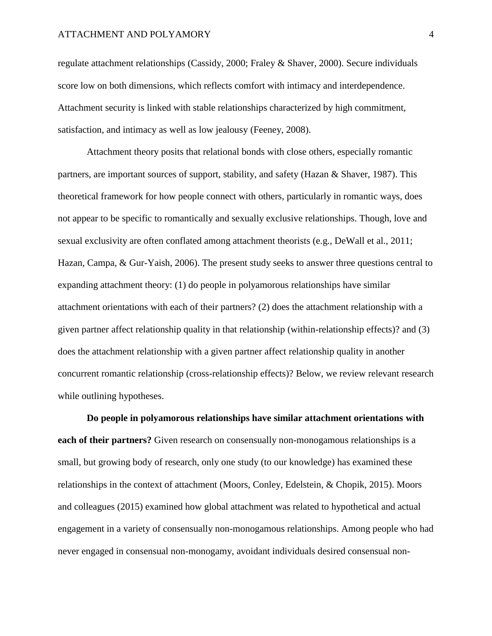regulate attachment relationships (Cassidy, 2000; Fraley & Shaver, 2000). Secure individuals score low on both dimensions, which reflects comfort with intimacy and interdependence. Attachment security is linked with stable relationships characterized by high commitment, satisfaction, and intimacy as well as low jealousy (Feeney, 2008).

Attachment theory posits that relational bonds with close others, especially romantic partners, are important sources of support, stability, and safety (Hazan & Shaver, 1987). This theoretical framework for how people connect with others, particularly in romantic ways, does not appear to be specific to romantically and sexually exclusive relationships. Though, love and sexual exclusivity are often conflated among attachment theorists (e.g., DeWall et al., 2011; Hazan, Campa, & Gur-Yaish, 2006). The present study seeks to answer three questions central to expanding attachment theory: (1) do people in polyamorous relationships have similar attachment orientations with each of their partners? (2) does the attachment relationship with a given partner affect relationship quality in that relationship (within-relationship effects)? and (3) does the attachment relationship with a given partner affect relationship quality in another concurrent romantic relationship (cross-relationship effects)? Below, we review relevant research while outlining hypotheses.

**Do people in polyamorous relationships have similar attachment orientations with each of their partners?** Given research on consensually non-monogamous relationships is a small, but growing body of research, only one study (to our knowledge) has examined these relationships in the context of attachment (Moors, Conley, Edelstein, & Chopik, 2015). Moors and colleagues (2015) examined how global attachment was related to hypothetical and actual engagement in a variety of consensually non-monogamous relationships. Among people who had never engaged in consensual non-monogamy, avoidant individuals desired consensual non-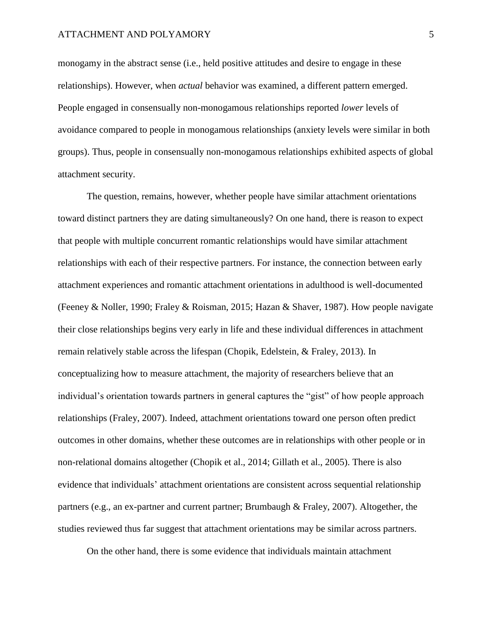monogamy in the abstract sense (i.e., held positive attitudes and desire to engage in these relationships). However, when *actual* behavior was examined, a different pattern emerged. People engaged in consensually non-monogamous relationships reported *lower* levels of avoidance compared to people in monogamous relationships (anxiety levels were similar in both groups). Thus, people in consensually non-monogamous relationships exhibited aspects of global attachment security.

The question, remains, however, whether people have similar attachment orientations toward distinct partners they are dating simultaneously? On one hand, there is reason to expect that people with multiple concurrent romantic relationships would have similar attachment relationships with each of their respective partners. For instance, the connection between early attachment experiences and romantic attachment orientations in adulthood is well-documented (Feeney & Noller, 1990; Fraley & Roisman, 2015; Hazan & Shaver, 1987). How people navigate their close relationships begins very early in life and these individual differences in attachment remain relatively stable across the lifespan (Chopik, Edelstein, & Fraley, 2013). In conceptualizing how to measure attachment, the majority of researchers believe that an individual's orientation towards partners in general captures the "gist" of how people approach relationships (Fraley, 2007). Indeed, attachment orientations toward one person often predict outcomes in other domains, whether these outcomes are in relationships with other people or in non-relational domains altogether (Chopik et al., 2014; Gillath et al., 2005). There is also evidence that individuals' attachment orientations are consistent across sequential relationship partners (e.g., an ex-partner and current partner; Brumbaugh & Fraley, 2007). Altogether, the studies reviewed thus far suggest that attachment orientations may be similar across partners.

On the other hand, there is some evidence that individuals maintain attachment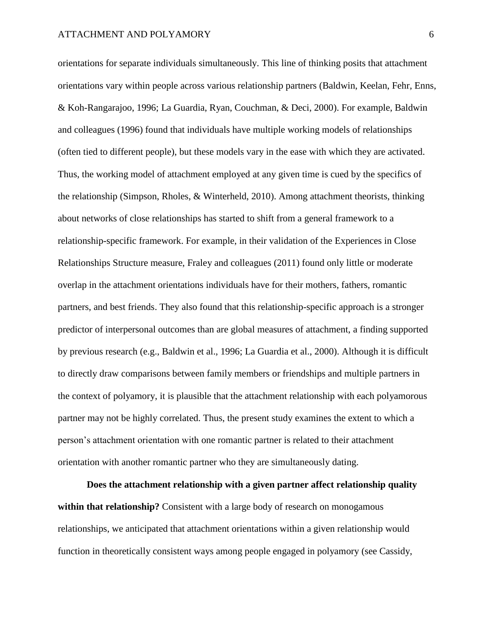orientations for separate individuals simultaneously. This line of thinking posits that attachment orientations vary within people across various relationship partners (Baldwin, Keelan, Fehr, Enns, & Koh-Rangarajoo, 1996; La Guardia, Ryan, Couchman, & Deci, 2000). For example, Baldwin and colleagues (1996) found that individuals have multiple working models of relationships (often tied to different people), but these models vary in the ease with which they are activated. Thus, the working model of attachment employed at any given time is cued by the specifics of the relationship (Simpson, Rholes, & Winterheld, 2010). Among attachment theorists, thinking about networks of close relationships has started to shift from a general framework to a relationship-specific framework. For example, in their validation of the Experiences in Close Relationships Structure measure, Fraley and colleagues (2011) found only little or moderate overlap in the attachment orientations individuals have for their mothers, fathers, romantic partners, and best friends. They also found that this relationship-specific approach is a stronger predictor of interpersonal outcomes than are global measures of attachment, a finding supported by previous research (e.g., Baldwin et al., 1996; La Guardia et al., 2000). Although it is difficult to directly draw comparisons between family members or friendships and multiple partners in the context of polyamory, it is plausible that the attachment relationship with each polyamorous partner may not be highly correlated. Thus, the present study examines the extent to which a person's attachment orientation with one romantic partner is related to their attachment orientation with another romantic partner who they are simultaneously dating.

**Does the attachment relationship with a given partner affect relationship quality within that relationship?** Consistent with a large body of research on monogamous relationships, we anticipated that attachment orientations within a given relationship would function in theoretically consistent ways among people engaged in polyamory (see Cassidy,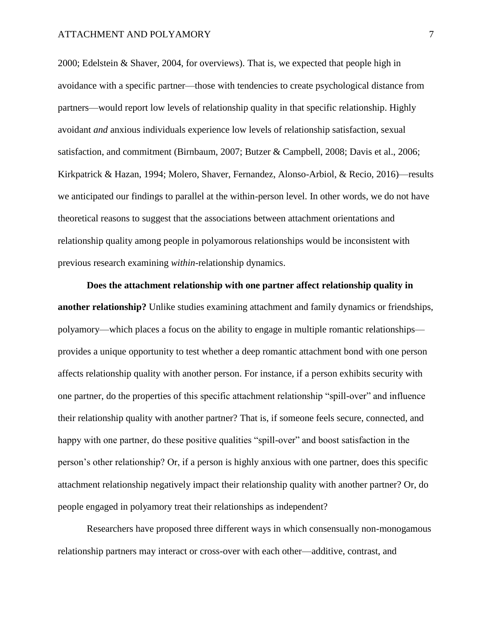2000; Edelstein & Shaver, 2004, for overviews). That is, we expected that people high in avoidance with a specific partner—those with tendencies to create psychological distance from partners—would report low levels of relationship quality in that specific relationship. Highly avoidant *and* anxious individuals experience low levels of relationship satisfaction, sexual satisfaction, and commitment (Birnbaum, 2007; Butzer & Campbell, 2008; Davis et al., 2006; Kirkpatrick & Hazan, 1994; Molero, Shaver, Fernandez, Alonso-Arbiol, & Recio, 2016)—results we anticipated our findings to parallel at the within-person level. In other words, we do not have theoretical reasons to suggest that the associations between attachment orientations and relationship quality among people in polyamorous relationships would be inconsistent with previous research examining *within-*relationship dynamics.

**Does the attachment relationship with one partner affect relationship quality in another relationship?** Unlike studies examining attachment and family dynamics or friendships, polyamory—which places a focus on the ability to engage in multiple romantic relationships provides a unique opportunity to test whether a deep romantic attachment bond with one person affects relationship quality with another person. For instance, if a person exhibits security with one partner, do the properties of this specific attachment relationship "spill-over" and influence their relationship quality with another partner? That is, if someone feels secure, connected, and happy with one partner, do these positive qualities "spill-over" and boost satisfaction in the person's other relationship? Or, if a person is highly anxious with one partner, does this specific attachment relationship negatively impact their relationship quality with another partner? Or, do people engaged in polyamory treat their relationships as independent?

Researchers have proposed three different ways in which consensually non-monogamous relationship partners may interact or cross-over with each other—additive, contrast, and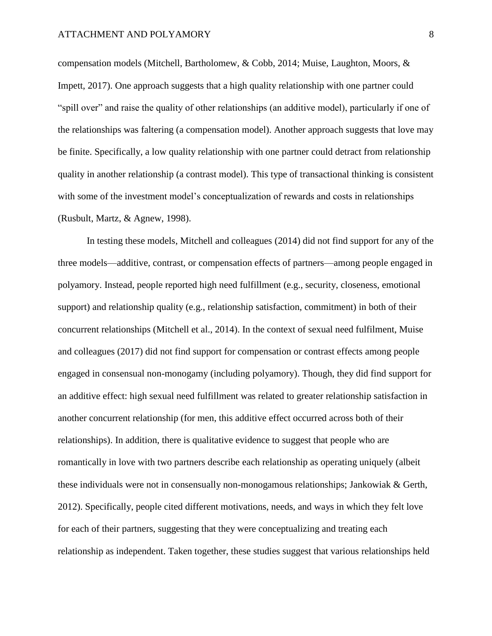compensation models (Mitchell, Bartholomew, & Cobb, 2014; Muise, Laughton, Moors, & Impett, 2017). One approach suggests that a high quality relationship with one partner could "spill over" and raise the quality of other relationships (an additive model), particularly if one of the relationships was faltering (a compensation model). Another approach suggests that love may be finite. Specifically, a low quality relationship with one partner could detract from relationship quality in another relationship (a contrast model). This type of transactional thinking is consistent with some of the investment model's conceptualization of rewards and costs in relationships (Rusbult, Martz, & Agnew, 1998).

In testing these models, Mitchell and colleagues (2014) did not find support for any of the three models—additive, contrast, or compensation effects of partners—among people engaged in polyamory. Instead, people reported high need fulfillment (e.g., security, closeness, emotional support) and relationship quality (e.g., relationship satisfaction, commitment) in both of their concurrent relationships (Mitchell et al., 2014). In the context of sexual need fulfilment, Muise and colleagues (2017) did not find support for compensation or contrast effects among people engaged in consensual non-monogamy (including polyamory). Though, they did find support for an additive effect: high sexual need fulfillment was related to greater relationship satisfaction in another concurrent relationship (for men, this additive effect occurred across both of their relationships). In addition, there is qualitative evidence to suggest that people who are romantically in love with two partners describe each relationship as operating uniquely (albeit these individuals were not in consensually non-monogamous relationships; Jankowiak & Gerth, 2012). Specifically, people cited different motivations, needs, and ways in which they felt love for each of their partners, suggesting that they were conceptualizing and treating each relationship as independent. Taken together, these studies suggest that various relationships held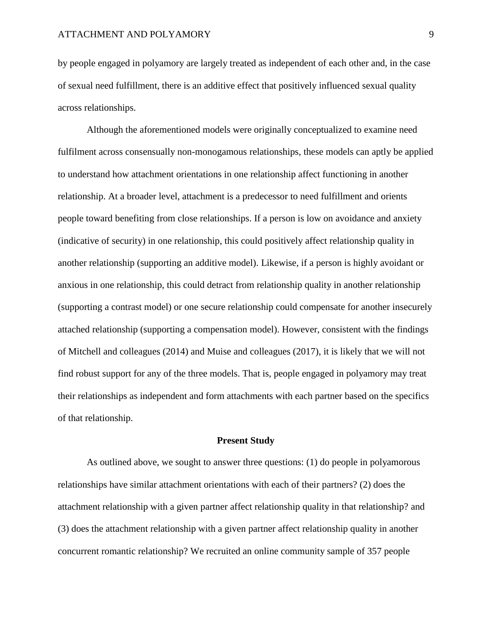by people engaged in polyamory are largely treated as independent of each other and, in the case of sexual need fulfillment, there is an additive effect that positively influenced sexual quality across relationships.

Although the aforementioned models were originally conceptualized to examine need fulfilment across consensually non-monogamous relationships, these models can aptly be applied to understand how attachment orientations in one relationship affect functioning in another relationship. At a broader level, attachment is a predecessor to need fulfillment and orients people toward benefiting from close relationships. If a person is low on avoidance and anxiety (indicative of security) in one relationship, this could positively affect relationship quality in another relationship (supporting an additive model). Likewise, if a person is highly avoidant or anxious in one relationship, this could detract from relationship quality in another relationship (supporting a contrast model) or one secure relationship could compensate for another insecurely attached relationship (supporting a compensation model). However, consistent with the findings of Mitchell and colleagues (2014) and Muise and colleagues (2017), it is likely that we will not find robust support for any of the three models. That is, people engaged in polyamory may treat their relationships as independent and form attachments with each partner based on the specifics of that relationship.

#### **Present Study**

As outlined above, we sought to answer three questions: (1) do people in polyamorous relationships have similar attachment orientations with each of their partners? (2) does the attachment relationship with a given partner affect relationship quality in that relationship? and (3) does the attachment relationship with a given partner affect relationship quality in another concurrent romantic relationship? We recruited an online community sample of 357 people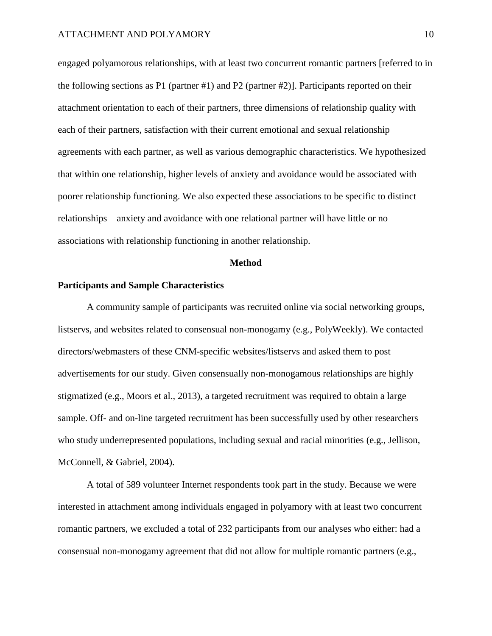engaged polyamorous relationships, with at least two concurrent romantic partners [referred to in the following sections as P1 (partner #1) and P2 (partner #2)]. Participants reported on their attachment orientation to each of their partners, three dimensions of relationship quality with each of their partners, satisfaction with their current emotional and sexual relationship agreements with each partner, as well as various demographic characteristics. We hypothesized that within one relationship, higher levels of anxiety and avoidance would be associated with poorer relationship functioning. We also expected these associations to be specific to distinct relationships—anxiety and avoidance with one relational partner will have little or no associations with relationship functioning in another relationship.

#### **Method**

#### **Participants and Sample Characteristics**

A community sample of participants was recruited online via social networking groups, listservs, and websites related to consensual non-monogamy (e.g., PolyWeekly). We contacted directors/webmasters of these CNM-specific websites/listservs and asked them to post advertisements for our study. Given consensually non-monogamous relationships are highly stigmatized (e.g., Moors et al., 2013), a targeted recruitment was required to obtain a large sample. Off- and on-line targeted recruitment has been successfully used by other researchers who study underrepresented populations, including sexual and racial minorities (e.g., Jellison, McConnell, & Gabriel, 2004).

A total of 589 volunteer Internet respondents took part in the study. Because we were interested in attachment among individuals engaged in polyamory with at least two concurrent romantic partners, we excluded a total of 232 participants from our analyses who either: had a consensual non-monogamy agreement that did not allow for multiple romantic partners (e.g.,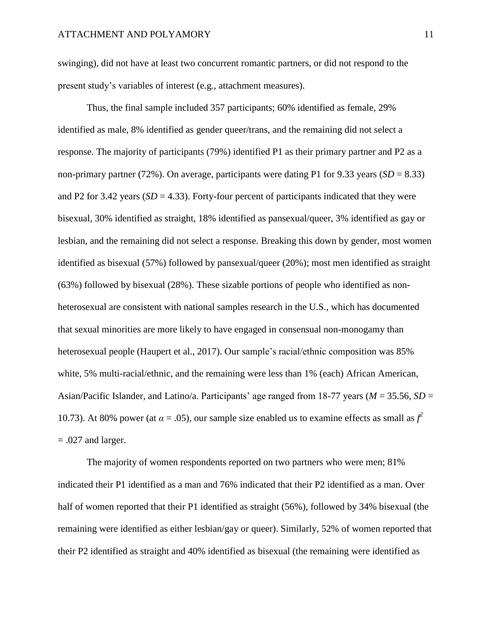swinging), did not have at least two concurrent romantic partners, or did not respond to the present study's variables of interest (e.g., attachment measures).

Thus, the final sample included 357 participants; 60% identified as female, 29% identified as male, 8% identified as gender queer/trans, and the remaining did not select a response. The majority of participants (79%) identified P1 as their primary partner and P2 as a non-primary partner (72%). On average, participants were dating P1 for 9.33 years (*SD* = 8.33) and P2 for 3.42 years  $(SD = 4.33)$ . Forty-four percent of participants indicated that they were bisexual, 30% identified as straight, 18% identified as pansexual/queer, 3% identified as gay or lesbian, and the remaining did not select a response. Breaking this down by gender, most women identified as bisexual (57%) followed by pansexual/queer (20%); most men identified as straight (63%) followed by bisexual (28%). These sizable portions of people who identified as nonheterosexual are consistent with national samples research in the U.S., which has documented that sexual minorities are more likely to have engaged in consensual non-monogamy than heterosexual people (Haupert et al., 2017). Our sample's racial/ethnic composition was 85% white, 5% multi-racial/ethnic, and the remaining were less than 1% (each) African American, Asian/Pacific Islander, and Latino/a. Participants' age ranged from 18-77 years (*M* = 35.56, *SD* = 10.73). At 80% power (at  $\alpha = .05$ ), our sample size enabled us to examine effects as small as  $f^2$  $= .027$  and larger.

The majority of women respondents reported on two partners who were men; 81% indicated their P1 identified as a man and 76% indicated that their P2 identified as a man. Over half of women reported that their P1 identified as straight (56%), followed by 34% bisexual (the remaining were identified as either lesbian/gay or queer). Similarly, 52% of women reported that their P2 identified as straight and 40% identified as bisexual (the remaining were identified as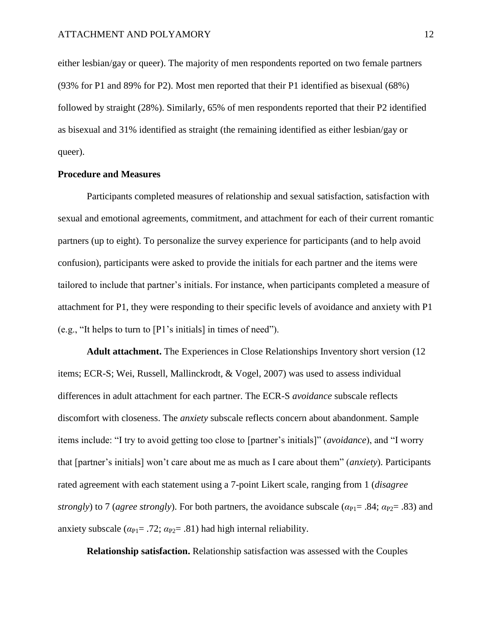either lesbian/gay or queer). The majority of men respondents reported on two female partners (93% for P1 and 89% for P2). Most men reported that their P1 identified as bisexual (68%) followed by straight (28%). Similarly, 65% of men respondents reported that their P2 identified as bisexual and 31% identified as straight (the remaining identified as either lesbian/gay or queer).

#### **Procedure and Measures**

Participants completed measures of relationship and sexual satisfaction, satisfaction with sexual and emotional agreements, commitment, and attachment for each of their current romantic partners (up to eight). To personalize the survey experience for participants (and to help avoid confusion), participants were asked to provide the initials for each partner and the items were tailored to include that partner's initials. For instance, when participants completed a measure of attachment for P1, they were responding to their specific levels of avoidance and anxiety with P1 (e.g., "It helps to turn to [P1's initials] in times of need").

**Adult attachment.** The Experiences in Close Relationships Inventory short version (12 items; ECR-S; Wei, Russell, Mallinckrodt, & Vogel, 2007) was used to assess individual differences in adult attachment for each partner. The ECR-S *avoidance* subscale reflects discomfort with closeness. The *anxiety* subscale reflects concern about abandonment. Sample items include: "I try to avoid getting too close to [partner's initials]" (*avoidance*), and "I worry that [partner's initials] won't care about me as much as I care about them" (*anxiety*). Participants rated agreement with each statement using a 7-point Likert scale, ranging from 1 (*disagree strongly*) to 7 (*agree strongly*). For both partners, the avoidance subscale ( $\alpha_{PI} = .84$ ;  $\alpha_{P2} = .83$ ) and anxiety subscale  $(\alpha_{P1} = .72; \alpha_{P2} = .81)$  had high internal reliability.

**Relationship satisfaction.** Relationship satisfaction was assessed with the Couples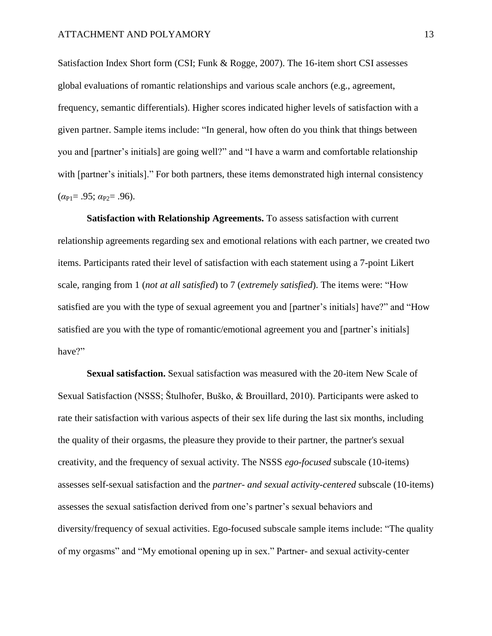Satisfaction Index Short form (CSI; Funk & Rogge, 2007). The 16-item short CSI assesses global evaluations of romantic relationships and various scale anchors (e.g., agreement, frequency, semantic differentials). Higher scores indicated higher levels of satisfaction with a given partner. Sample items include: "In general, how often do you think that things between you and [partner's initials] are going well?" and "I have a warm and comfortable relationship with [partner's initials]." For both partners, these items demonstrated high internal consistency  $(\alpha_{\text{P1}} = .95; \alpha_{\text{P2}} = .96)$ .

**Satisfaction with Relationship Agreements.** To assess satisfaction with current relationship agreements regarding sex and emotional relations with each partner, we created two items. Participants rated their level of satisfaction with each statement using a 7-point Likert scale, ranging from 1 (*not at all satisfied*) to 7 (*extremely satisfied*). The items were: "How satisfied are you with the type of sexual agreement you and [partner's initials] have?" and "How satisfied are you with the type of romantic/emotional agreement you and [partner's initials] have?"

**Sexual satisfaction.** Sexual satisfaction was measured with the 20-item New Scale of Sexual Satisfaction (NSSS; Štulhofer, Buško, & Brouillard, 2010). Participants were asked to rate their satisfaction with various aspects of their sex life during the last six months, including the quality of their orgasms, the pleasure they provide to their partner, the partner's sexual creativity, and the frequency of sexual activity. The NSSS *ego-focused* subscale (10-items) assesses self-sexual satisfaction and the *partner- and sexual activity-centered* subscale (10-items) assesses the sexual satisfaction derived from one's partner's sexual behaviors and diversity/frequency of sexual activities. Ego-focused subscale sample items include: "The quality of my orgasms" and "My emotional opening up in sex." Partner- and sexual activity-center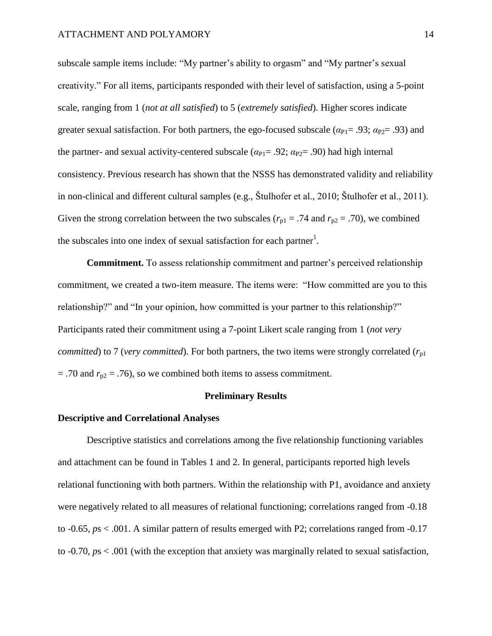subscale sample items include: "My partner's ability to orgasm" and "My partner's sexual creativity." For all items, participants responded with their level of satisfaction, using a 5-point scale, ranging from 1 (*not at all satisfied*) to 5 (*extremely satisfied*). Higher scores indicate greater sexual satisfaction. For both partners, the ego-focused subscale ( $\alpha_{PI} = .93$ ;  $\alpha_{PI} = .93$ ) and the partner- and sexual activity-centered subscale ( $\alpha_{PI}$ = .92;  $\alpha_{P2}$ = .90) had high internal consistency. Previous research has shown that the NSSS has demonstrated validity and reliability in non-clinical and different cultural samples (e.g., Štulhofer et al., 2010; Štulhofer et al., 2011). Given the strong correlation between the two subscales ( $r_{p1} = .74$  and  $r_{p2} = .70$ ), we combined the subscales into one index of sexual satisfaction for each partner<sup>1</sup>.

**Commitment.** To assess relationship commitment and partner's perceived relationship commitment, we created a two-item measure. The items were: "How committed are you to this relationship?" and "In your opinion, how committed is your partner to this relationship?" Participants rated their commitment using a 7-point Likert scale ranging from 1 (*not very committed*) to 7 (*very committed*). For both partners, the two items were strongly correlated  $(r_{p1})$  $=$  .70 and  $r_{p2} = .76$ ), so we combined both items to assess commitment.

#### **Preliminary Results**

#### **Descriptive and Correlational Analyses**

Descriptive statistics and correlations among the five relationship functioning variables and attachment can be found in Tables 1 and 2. In general, participants reported high levels relational functioning with both partners. Within the relationship with P1, avoidance and anxiety were negatively related to all measures of relational functioning; correlations ranged from -0.18 to -0.65, *p*s < .001. A similar pattern of results emerged with P2; correlations ranged from -0.17 to -0.70, *p*s < .001 (with the exception that anxiety was marginally related to sexual satisfaction,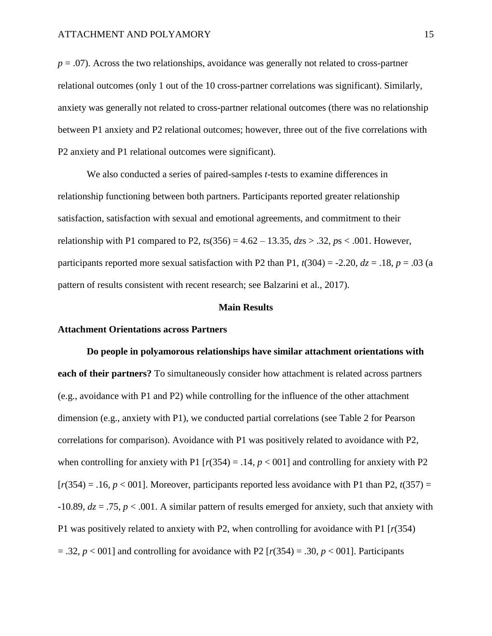$p = .07$ ). Across the two relationships, avoidance was generally not related to cross-partner relational outcomes (only 1 out of the 10 cross-partner correlations was significant). Similarly, anxiety was generally not related to cross-partner relational outcomes (there was no relationship between P1 anxiety and P2 relational outcomes; however, three out of the five correlations with P2 anxiety and P1 relational outcomes were significant).

We also conducted a series of paired-samples *t*-tests to examine differences in relationship functioning between both partners. Participants reported greater relationship satisfaction, satisfaction with sexual and emotional agreements, and commitment to their relationship with P1 compared to P2,  $t s(356) = 4.62 - 13.35$ ,  $dzs > .32$ ,  $ps < .001$ . However, participants reported more sexual satisfaction with P2 than P1,  $t(304) = -2.20$ ,  $dz = .18$ ,  $p = .03$  (a pattern of results consistent with recent research; see Balzarini et al., 2017).

#### **Main Results**

#### **Attachment Orientations across Partners**

**Do people in polyamorous relationships have similar attachment orientations with each of their partners?** To simultaneously consider how attachment is related across partners (e.g., avoidance with P1 and P2) while controlling for the influence of the other attachment dimension (e.g., anxiety with P1), we conducted partial correlations (see Table 2 for Pearson correlations for comparison). Avoidance with P1 was positively related to avoidance with P2, when controlling for anxiety with P1  $[r(354) = .14, p < 001]$  and controlling for anxiety with P2  $[r(354) = .16, p < 001]$ . Moreover, participants reported less avoidance with P1 than P2,  $t(357) =$  $-10.89$ ,  $dz = .75$ ,  $p < .001$ . A similar pattern of results emerged for anxiety, such that anxiety with P1 was positively related to anxiety with P2, when controlling for avoidance with P1 [*r*(354)  $= .32, p < 001$ ] and controlling for avoidance with P2 [ $r(354) = .30, p < 001$ ]. Participants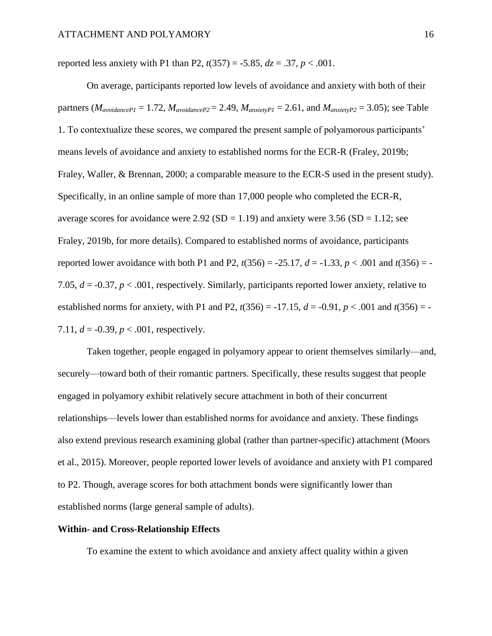reported less anxiety with P1 than P2,  $t(357) = -5.85$ ,  $dz = .37$ ,  $p < .001$ .

On average, participants reported low levels of avoidance and anxiety with both of their partners ( $M_{avoidancePI} = 1.72$ ,  $M_{avoidanceP2} = 2.49$ ,  $M_{anxie tVPI} = 2.61$ , and  $M_{anxie tVPI} = 3.05$ ); see Table 1. To contextualize these scores, we compared the present sample of polyamorous participants' means levels of avoidance and anxiety to established norms for the ECR-R (Fraley, 2019b; Fraley, Waller, & Brennan, 2000; a comparable measure to the ECR-S used in the present study). Specifically, in an online sample of more than 17,000 people who completed the ECR-R, average scores for avoidance were  $2.92$  (SD = 1.19) and anxiety were 3.56 (SD = 1.12; see Fraley, 2019b, for more details). Compared to established norms of avoidance, participants reported lower avoidance with both P1 and P2,  $t(356) = -25.17$ ,  $d = -1.33$ ,  $p < .001$  and  $t(356) = -1.33$ 7.05, *d* = -0.37, *p* < .001, respectively. Similarly, participants reported lower anxiety, relative to established norms for anxiety, with P1 and P2,  $t(356) = -17.15$ ,  $d = -0.91$ ,  $p < .001$  and  $t(356) = -17.15$ 7.11,  $d = -0.39$ ,  $p < .001$ , respectively.

Taken together, people engaged in polyamory appear to orient themselves similarly—and, securely—toward both of their romantic partners. Specifically, these results suggest that people engaged in polyamory exhibit relatively secure attachment in both of their concurrent relationships—levels lower than established norms for avoidance and anxiety. These findings also extend previous research examining global (rather than partner-specific) attachment (Moors et al., 2015). Moreover, people reported lower levels of avoidance and anxiety with P1 compared to P2. Though, average scores for both attachment bonds were significantly lower than established norms (large general sample of adults).

#### **Within- and Cross-Relationship Effects**

To examine the extent to which avoidance and anxiety affect quality within a given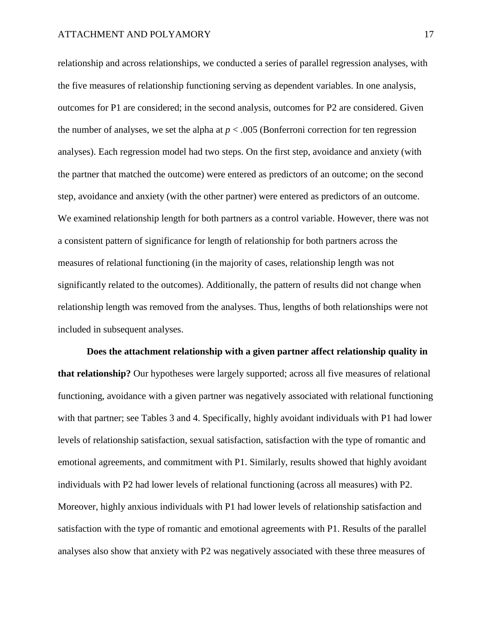relationship and across relationships, we conducted a series of parallel regression analyses, with the five measures of relationship functioning serving as dependent variables. In one analysis, outcomes for P1 are considered; in the second analysis, outcomes for P2 are considered. Given the number of analyses, we set the alpha at  $p < .005$  (Bonferroni correction for ten regression analyses). Each regression model had two steps. On the first step, avoidance and anxiety (with the partner that matched the outcome) were entered as predictors of an outcome; on the second step, avoidance and anxiety (with the other partner) were entered as predictors of an outcome. We examined relationship length for both partners as a control variable. However, there was not a consistent pattern of significance for length of relationship for both partners across the measures of relational functioning (in the majority of cases, relationship length was not significantly related to the outcomes). Additionally, the pattern of results did not change when relationship length was removed from the analyses. Thus, lengths of both relationships were not included in subsequent analyses.

**Does the attachment relationship with a given partner affect relationship quality in that relationship?** Our hypotheses were largely supported; across all five measures of relational functioning, avoidance with a given partner was negatively associated with relational functioning with that partner; see Tables 3 and 4. Specifically, highly avoidant individuals with P1 had lower levels of relationship satisfaction, sexual satisfaction, satisfaction with the type of romantic and emotional agreements, and commitment with P1. Similarly, results showed that highly avoidant individuals with P2 had lower levels of relational functioning (across all measures) with P2. Moreover, highly anxious individuals with P1 had lower levels of relationship satisfaction and satisfaction with the type of romantic and emotional agreements with P1. Results of the parallel analyses also show that anxiety with P2 was negatively associated with these three measures of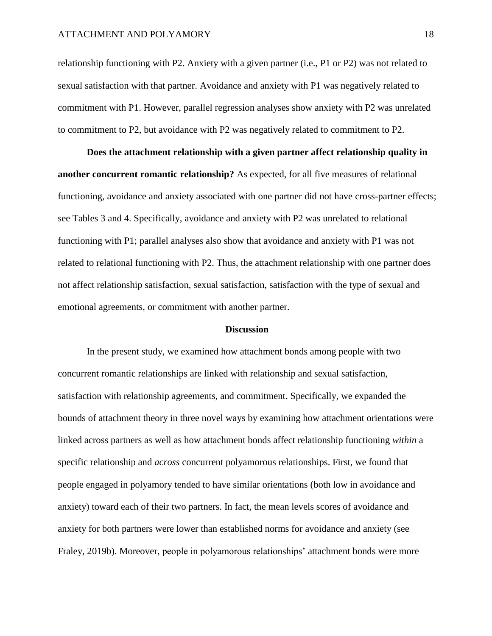relationship functioning with P2. Anxiety with a given partner (i.e., P1 or P2) was not related to sexual satisfaction with that partner. Avoidance and anxiety with P1 was negatively related to commitment with P1. However, parallel regression analyses show anxiety with P2 was unrelated to commitment to P2, but avoidance with P2 was negatively related to commitment to P2.

**Does the attachment relationship with a given partner affect relationship quality in another concurrent romantic relationship?** As expected, for all five measures of relational functioning, avoidance and anxiety associated with one partner did not have cross-partner effects; see Tables 3 and 4. Specifically, avoidance and anxiety with P2 was unrelated to relational functioning with P1; parallel analyses also show that avoidance and anxiety with P1 was not related to relational functioning with P2. Thus, the attachment relationship with one partner does not affect relationship satisfaction, sexual satisfaction, satisfaction with the type of sexual and emotional agreements, or commitment with another partner.

#### **Discussion**

In the present study, we examined how attachment bonds among people with two concurrent romantic relationships are linked with relationship and sexual satisfaction, satisfaction with relationship agreements, and commitment. Specifically, we expanded the bounds of attachment theory in three novel ways by examining how attachment orientations were linked across partners as well as how attachment bonds affect relationship functioning *within* a specific relationship and *across* concurrent polyamorous relationships. First, we found that people engaged in polyamory tended to have similar orientations (both low in avoidance and anxiety) toward each of their two partners. In fact, the mean levels scores of avoidance and anxiety for both partners were lower than established norms for avoidance and anxiety (see Fraley, 2019b). Moreover, people in polyamorous relationships' attachment bonds were more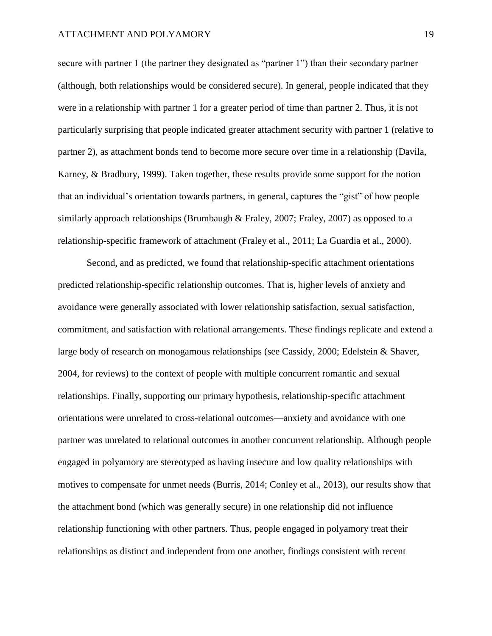secure with partner 1 (the partner they designated as "partner 1") than their secondary partner (although, both relationships would be considered secure). In general, people indicated that they were in a relationship with partner 1 for a greater period of time than partner 2. Thus, it is not particularly surprising that people indicated greater attachment security with partner 1 (relative to partner 2), as attachment bonds tend to become more secure over time in a relationship (Davila, Karney, & Bradbury, 1999). Taken together, these results provide some support for the notion that an individual's orientation towards partners, in general, captures the "gist" of how people similarly approach relationships (Brumbaugh & Fraley, 2007; Fraley, 2007) as opposed to a relationship-specific framework of attachment (Fraley et al., 2011; La Guardia et al., 2000).

Second, and as predicted, we found that relationship-specific attachment orientations predicted relationship-specific relationship outcomes. That is, higher levels of anxiety and avoidance were generally associated with lower relationship satisfaction, sexual satisfaction, commitment, and satisfaction with relational arrangements. These findings replicate and extend a large body of research on monogamous relationships (see Cassidy, 2000; Edelstein & Shaver, 2004, for reviews) to the context of people with multiple concurrent romantic and sexual relationships. Finally, supporting our primary hypothesis, relationship-specific attachment orientations were unrelated to cross-relational outcomes—anxiety and avoidance with one partner was unrelated to relational outcomes in another concurrent relationship. Although people engaged in polyamory are stereotyped as having insecure and low quality relationships with motives to compensate for unmet needs (Burris, 2014; Conley et al., 2013), our results show that the attachment bond (which was generally secure) in one relationship did not influence relationship functioning with other partners. Thus, people engaged in polyamory treat their relationships as distinct and independent from one another, findings consistent with recent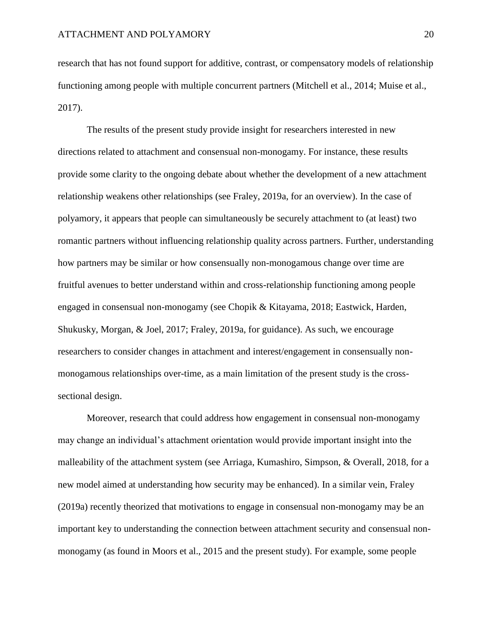research that has not found support for additive, contrast, or compensatory models of relationship functioning among people with multiple concurrent partners (Mitchell et al., 2014; Muise et al., 2017).

The results of the present study provide insight for researchers interested in new directions related to attachment and consensual non-monogamy. For instance, these results provide some clarity to the ongoing debate about whether the development of a new attachment relationship weakens other relationships (see Fraley, 2019a, for an overview). In the case of polyamory, it appears that people can simultaneously be securely attachment to (at least) two romantic partners without influencing relationship quality across partners. Further, understanding how partners may be similar or how consensually non-monogamous change over time are fruitful avenues to better understand within and cross-relationship functioning among people engaged in consensual non-monogamy (see Chopik & Kitayama, 2018; Eastwick, Harden, Shukusky, Morgan, & Joel, 2017; Fraley, 2019a, for guidance). As such, we encourage researchers to consider changes in attachment and interest/engagement in consensually nonmonogamous relationships over-time, as a main limitation of the present study is the crosssectional design.

Moreover, research that could address how engagement in consensual non-monogamy may change an individual's attachment orientation would provide important insight into the malleability of the attachment system (see Arriaga, Kumashiro, Simpson, & Overall, 2018, for a new model aimed at understanding how security may be enhanced). In a similar vein, Fraley (2019a) recently theorized that motivations to engage in consensual non-monogamy may be an important key to understanding the connection between attachment security and consensual nonmonogamy (as found in Moors et al., 2015 and the present study). For example, some people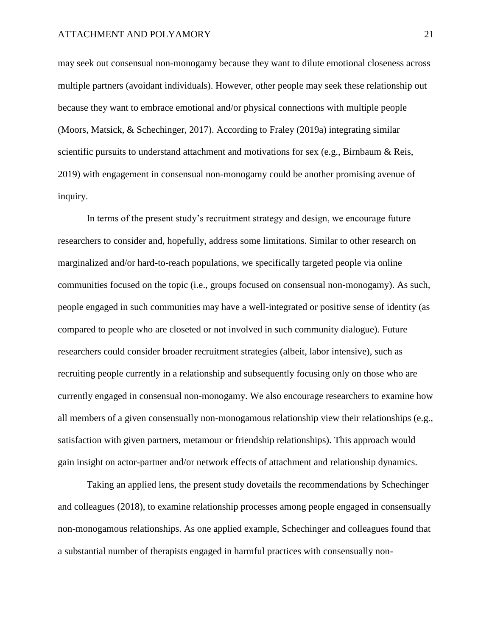may seek out consensual non-monogamy because they want to dilute emotional closeness across multiple partners (avoidant individuals). However, other people may seek these relationship out because they want to embrace emotional and/or physical connections with multiple people (Moors, Matsick, & Schechinger, 2017). According to Fraley (2019a) integrating similar scientific pursuits to understand attachment and motivations for sex (e.g., Birnbaum & Reis, 2019) with engagement in consensual non-monogamy could be another promising avenue of inquiry.

In terms of the present study's recruitment strategy and design, we encourage future researchers to consider and, hopefully, address some limitations. Similar to other research on marginalized and/or hard-to-reach populations, we specifically targeted people via online communities focused on the topic (i.e., groups focused on consensual non-monogamy). As such, people engaged in such communities may have a well-integrated or positive sense of identity (as compared to people who are closeted or not involved in such community dialogue). Future researchers could consider broader recruitment strategies (albeit, labor intensive), such as recruiting people currently in a relationship and subsequently focusing only on those who are currently engaged in consensual non-monogamy. We also encourage researchers to examine how all members of a given consensually non-monogamous relationship view their relationships (e.g., satisfaction with given partners, metamour or friendship relationships). This approach would gain insight on actor-partner and/or network effects of attachment and relationship dynamics.

Taking an applied lens, the present study dovetails the recommendations by Schechinger and colleagues (2018), to examine relationship processes among people engaged in consensually non-monogamous relationships. As one applied example, Schechinger and colleagues found that a substantial number of therapists engaged in harmful practices with consensually non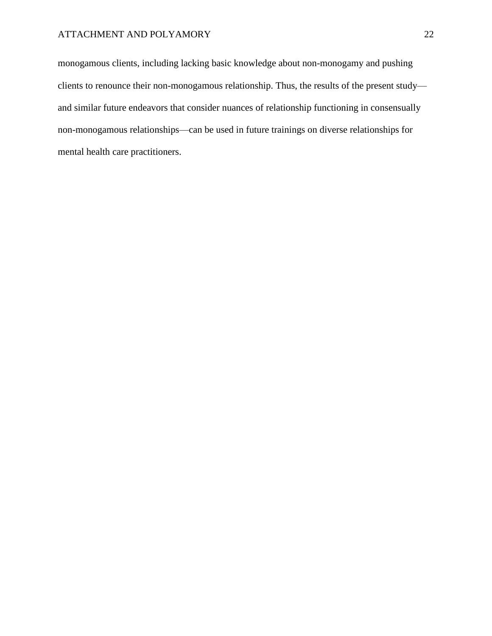monogamous clients, including lacking basic knowledge about non-monogamy and pushing clients to renounce their non-monogamous relationship. Thus, the results of the present study and similar future endeavors that consider nuances of relationship functioning in consensually non-monogamous relationships—can be used in future trainings on diverse relationships for mental health care practitioners.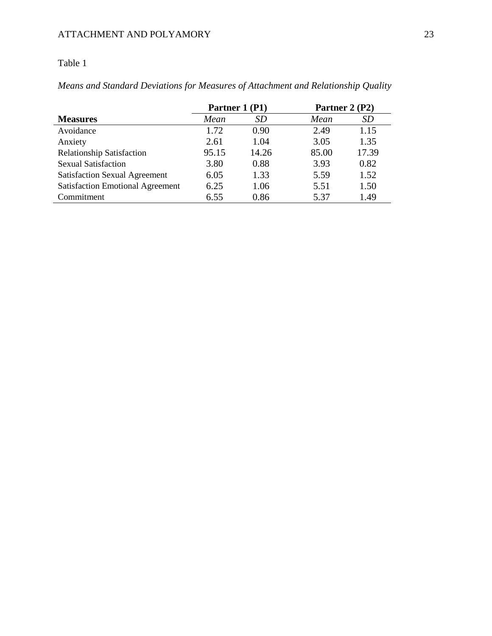## Table 1

*Means and Standard Deviations for Measures of Attachment and Relationship Quality*

|                                         |       | Partner 1 (P1) | Partner 2 (P2) |       |  |  |  |  |
|-----------------------------------------|-------|----------------|----------------|-------|--|--|--|--|
| <b>Measures</b>                         | Mean  | <i>SD</i>      | Mean           | SD    |  |  |  |  |
| Avoidance                               | 1.72  | 0.90           | 2.49           | 1.15  |  |  |  |  |
| Anxiety                                 | 2.61  | 1.04           | 3.05           | 1.35  |  |  |  |  |
| <b>Relationship Satisfaction</b>        | 95.15 | 14.26          | 85.00          | 17.39 |  |  |  |  |
| <b>Sexual Satisfaction</b>              | 3.80  | 0.88           | 3.93           | 0.82  |  |  |  |  |
| <b>Satisfaction Sexual Agreement</b>    | 6.05  | 1.33           | 5.59           | 1.52  |  |  |  |  |
| <b>Satisfaction Emotional Agreement</b> | 6.25  | 1.06           | 5.51           | 1.50  |  |  |  |  |
| Commitment                              | 6.55  | 0.86           | 5.37           | 1.49  |  |  |  |  |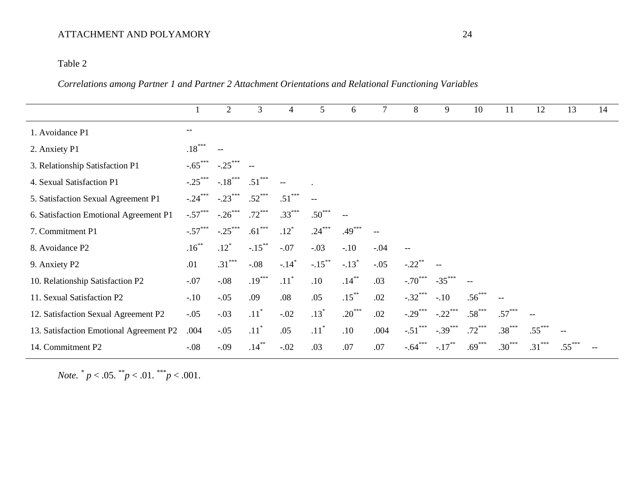## Table 2

*Correlations among Partner 1 and Partner 2 Attachment Orientations and Relational Functioning Variables*

|                                         |                          | $\overline{2}$ | 3                  | 4                   | 5                  | 6                   | 7                        | 8                                                   | 9         | 10              | 11       | 12       | 13       | 14 |
|-----------------------------------------|--------------------------|----------------|--------------------|---------------------|--------------------|---------------------|--------------------------|-----------------------------------------------------|-----------|-----------------|----------|----------|----------|----|
| 1. Avoidance P1                         | $\overline{\phantom{m}}$ |                |                    |                     |                    |                     |                          |                                                     |           |                 |          |          |          |    |
| 2. Anxiety P1                           | $.18***$                 |                |                    |                     |                    |                     |                          |                                                     |           |                 |          |          |          |    |
| 3. Relationship Satisfaction P1         | $-.65***$                | $-.25***$      |                    |                     |                    |                     |                          |                                                     |           |                 |          |          |          |    |
| 4. Sexual Satisfaction P1               | $-.25***$                | $-.18$ ***     | $.51***$           |                     |                    |                     |                          |                                                     |           |                 |          |          |          |    |
| 5. Satisfaction Sexual Agreement P1     | $-.24$                   | $-.23***$      | $.52***$           | $.51***$            |                    |                     |                          |                                                     |           |                 |          |          |          |    |
| 6. Satisfaction Emotional Agreement P1  | $-.57***$                | $-.26***$      | $.72***$           | $.33***$            | $.50***$           |                     |                          |                                                     |           |                 |          |          |          |    |
| 7. Commitment P1                        | $-.57***$                | $-.25***$      | $.61***$           | $.12*$              | $.24***$           | $.49***$            | $\overline{\phantom{m}}$ |                                                     |           |                 |          |          |          |    |
| 8. Avoidance P2                         | $.16***$                 | $.12*$         | $-.15***$          | $-.07$              | $-.03$             | $-.10$              | $-.04$                   | $\hspace{0.05cm} -\hspace{0.05cm} -\hspace{0.05cm}$ |           |                 |          |          |          |    |
| 9. Anxiety P2                           | .01                      | $.31***$       | $-.08$             | $-.14$ <sup>*</sup> | $-.15***$          | $-.13$ <sup>*</sup> | $-.05$                   | $-.22$ **                                           |           |                 |          |          |          |    |
| 10. Relationship Satisfaction P2        | $-.07$                   | $-0.08$        | $.19***$           | $.11$ <sup>*</sup>  | .10                | $.14***$            | .03                      | $-.70***$                                           | $-35***$  |                 |          |          |          |    |
| 11. Sexual Satisfaction P2              | $-.10$                   | $-.05$         | .09                | .08                 | .05                | $.15***$            | .02                      | $-.32***$                                           | $-.10$    | $.56^{\degree}$ |          |          |          |    |
| 12. Satisfaction Sexual Agreement P2    | $-.05$                   | $-.03$         | $.11$ <sup>*</sup> | $-.02$              | $.13*$             | $.20***$            | .02                      | $-.29***$                                           | $-.22***$ | $.58***$        | $.57***$ | $-$      |          |    |
| 13. Satisfaction Emotional Agreement P2 | .004                     | $-.05$         | $.11$ <sup>*</sup> | .05                 | $.11$ <sup>*</sup> | .10                 | .004                     | $-.51$ ***                                          | $-.39***$ | $.72***$        | $.38***$ | $.55***$ |          |    |
| 14. Commitment P2                       | $-.08$                   | $-.09$         | $.14***$           | $-.02$              | .03                | .07                 | .07                      | $-.64***$                                           | $-.17***$ | $.69***$        | $.30***$ | $.31***$ | $.55***$ |    |

*Note.*  $^* p < .05.$   $^* p < .01.$   $^* p < .001.$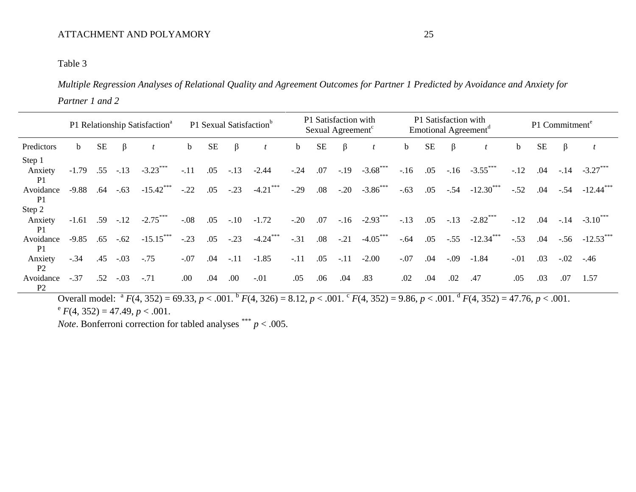## Table 3

*Multiple Regression Analyses of Relational Quality and Agreement Outcomes for Partner 1 Predicted by Avoidance and Anxiety for Partner 1 and 2*

|         |           |        |                                     | P1 Sexual Satisfaction <sup>b</sup>       |                      |        |             |        |           |         |            |                                                                                                                   |                 |        |                        | P1 Commitment <sup>e</sup>                                                                                                                      |           |                          |                         |  |
|---------|-----------|--------|-------------------------------------|-------------------------------------------|----------------------|--------|-------------|--------|-----------|---------|------------|-------------------------------------------------------------------------------------------------------------------|-----------------|--------|------------------------|-------------------------------------------------------------------------------------------------------------------------------------------------|-----------|--------------------------|-------------------------|--|
| b       | <b>SE</b> | ß      |                                     | $\mathbf b$                               | <b>SE</b>            | β      |             | b      | <b>SE</b> | $\beta$ |            | $\mathbf b$                                                                                                       | <b>SE</b>       | β      |                        | $\mathbf b$                                                                                                                                     | <b>SE</b> | β                        |                         |  |
| $-1.79$ |           |        | $-3.23***$                          | $-.11$                                    | .05                  | $-.13$ | $-2.44$     | $-.24$ | .07       |         |            | $-.16$                                                                                                            |                 |        |                        | $-.12$                                                                                                                                          | .04       |                          | $-3.27$                 |  |
| $-9.88$ | .64       | $-.63$ | $-15.42***$                         | $-.22$                                    | .05                  | $-.23$ | $-4.21$ *** | $-.29$ |           |         |            | $-.63$                                                                                                            | .05             |        |                        | $-.52$                                                                                                                                          | .04       | $-.54$                   | $-12.44$ <sup>***</sup> |  |
|         |           |        |                                     |                                           |                      |        |             |        |           |         |            |                                                                                                                   |                 |        |                        |                                                                                                                                                 |           |                          |                         |  |
|         |           |        | $-2.75***$                          | $-.08$                                    | .05                  | $-.10$ | $-1.72$     | $-.20$ |           |         |            | $-.13$                                                                                                            | .05             |        |                        | $-12$                                                                                                                                           | .04       | $-.14$                   | $-3.10$ <sup>**</sup>   |  |
| $-9.85$ | .65       | $-.62$ | $-15.15***$                         | $-.23$                                    | .05                  | $-.23$ | $-4.24***$  | $-.31$ | .08       |         | $-4.05***$ | $-.64$                                                                                                            | .05             | $-.55$ | $-12.34$ <sup>**</sup> | $-.53$                                                                                                                                          | .04       | $-.56$                   | $-12.53$                |  |
| $-.34$  | .45       | $-.03$ | $-.75$                              | $-.07$                                    | .04                  | $-.11$ | $-1.85$     | $-.11$ | .05       |         | $-2.00$    | $-.07$                                                                                                            | .04             | $-.09$ | $-1.84$                | $-.01$                                                                                                                                          | .03       | $-.02$                   | $-.46$                  |  |
| $-.37$  | .52       | $-.03$ | $-.71$                              | .00                                       | .04                  | .00.   | $-.01$      | .05    | .06       | .04     | .83        | .02                                                                                                               | .04             | .02    | .47                    | .05                                                                                                                                             | .03       | .07                      | 1.57                    |  |
|         |           |        | .55<br>$-.13$<br>$-1.61$ .59 $-.12$ | P1 Relationship Satisfaction <sup>a</sup> | $\sim$ $\sim$ $\sim$ |        |             |        |           | .07     | .08        | P1 Satisfaction with<br>Sexual Agreement <sup>c</sup><br>$-.19 -3.68$ ***<br>$-.20 -3.86$ ***<br>$-.21$<br>$-.11$ | $-.16 -2.93***$ | .05    |                        | P1 Satisfaction with<br>Emotional Agreement <sup>d</sup><br>$-.16 -3.55$ ***<br>$-.54 -12.30$ ***<br>$-2.82$ ***<br>$-.13$<br>المعاملين المتمام |           | $\overline{\phantom{a}}$ | $-.14$                  |  |

Overall model:  ${}^{a}F(4, 352) = 69.33, p < .001.$   ${}^{b}F(4, 326) = 8.12, p < .001.$   ${}^{c}F(4, 352) = 9.86, p < .001.$   ${}^{d}F(4, 352) = 47.76, p < .001.$  $e^{e} F(4, 352) = 47.49, p < .001.$ 

*Note*. Bonferroni correction for tabled analyses  $\frac{***}{p}$   $> 0.005$ .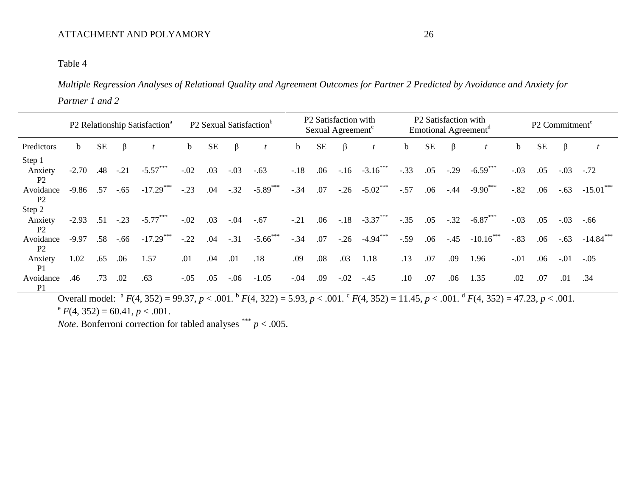## Table 4

*Multiple Regression Analyses of Relational Quality and Agreement Outcomes for Partner 2 Predicted by Avoidance and Anxiety for Partner 1 and 2*

|                                     |             |           |        | P2 Relationship Satisfaction <sup>a</sup> | P <sub>2</sub> Sexual Satisfaction <sup>b</sup> |           |         |             |        |           | P2 Satisfaction with<br>Sexual Agreement <sup>c</sup> |                   |             | P2 Satisfaction with<br>Emotional Agreement <sup>d</sup> | P <sub>2</sub> Commitment <sup>e</sup> |                        |        |           |         |             |
|-------------------------------------|-------------|-----------|--------|-------------------------------------------|-------------------------------------------------|-----------|---------|-------------|--------|-----------|-------------------------------------------------------|-------------------|-------------|----------------------------------------------------------|----------------------------------------|------------------------|--------|-----------|---------|-------------|
| Predictors                          | $\mathbf b$ | <b>SE</b> | β      |                                           | $\mathbf b$                                     | <b>SE</b> | β       |             | b      | <b>SE</b> | $\beta$                                               |                   | $\mathbf b$ | SE                                                       | $\beta$                                |                        | b      | <b>SE</b> | $\beta$ |             |
| Step 1<br>Anxiety<br>P <sub>2</sub> | $-2.70$     | .48       | $-.21$ | $-5.57***$                                | $-.02$                                          | .03       | $-.03$  | $-.63$      | $-18$  | .06       |                                                       | $-.16 -3.16$      | $-.33$      | .05                                                      | $-.29$                                 | $-6.59***$             | $-.03$ | .05       | $-.03$  | $-.72$      |
| Avoidance<br>P <sub>2</sub>         | $-9.86$     | .57       | $-.65$ | $-17.29***$                               | $-.23$                                          | .04       | $-.32$  | $-5.89$ *** | $-.34$ | .07       |                                                       | $-.26 -5.02$ ***  | $-.57$      | .06                                                      | $-.44$                                 | $-9.90***$             | $-.82$ | .06       | $-.63$  | $-15.01***$ |
| Step 2                              |             |           |        |                                           |                                                 |           |         |             |        |           |                                                       |                   |             |                                                          |                                        |                        |        |           |         |             |
| Anxiety<br>P <sub>2</sub>           | $-2.93$     | .51       | $-.23$ | $-5.77***$                                | $-.02$                                          | .03       | $-.04$  | $-.67$      | $-.21$ | .06       |                                                       | $-.18 - .3.37***$ | $-.35$      | .05                                                      | $-.32$                                 | $-6.87***$             | $-.03$ | .05       | $-.03$  |             |
| Avoidance<br>P <sub>2</sub>         | $-9.97$     | .58       | $-.66$ | $-17.29$ ***                              | $-.22$                                          | .04       | $-.31$  | $-5.66$ *** | $-.34$ | .07       | $-.26$                                                | $-4.94***$        | $-.59$      | .06                                                      | $-.45$                                 | $-10.16$ <sup>**</sup> | $-.83$ | .06       | $-.63$  | $-14.84$    |
| Anxiety<br>P <sub>1</sub>           | 1.02        | .65       | .06    | 1.57                                      | .01                                             | .04       | .01     | .18         | .09    | .08       | .03                                                   | 1.18              | .13         | .07                                                      | .09                                    | 1.96                   | $-.01$ | .06       | $-.01$  | $-.05$      |
| Avoidance<br>P <sub>1</sub>         | .46         | .73       | .02    | .63                                       | $-.05$                                          | .05       | $-0.06$ | $-1.05$     | $-.04$ | .09       | $-.02-.45$                                            |                   | $.10\,$     | .07                                                      | .06                                    | 1.35                   | .02    | .07       | $.01\,$ | .34         |

Overall model:  ${}^{a}F(4, 352) = 99.37$ ,  $p < .001$ .  ${}^{b}F(4, 322) = 5.93$ ,  $p < .001$ .  ${}^{c}F(4, 352) = 11.45$ ,  $p < .001$ .  ${}^{d}F(4, 352) = 47.23$ ,  $p < .001$ .  $e^{e} F(4, 352) = 60.41, p < .001.$ 

*Note*. Bonferroni correction for tabled analyses  $\frac{***}{p}$   $> .005$ .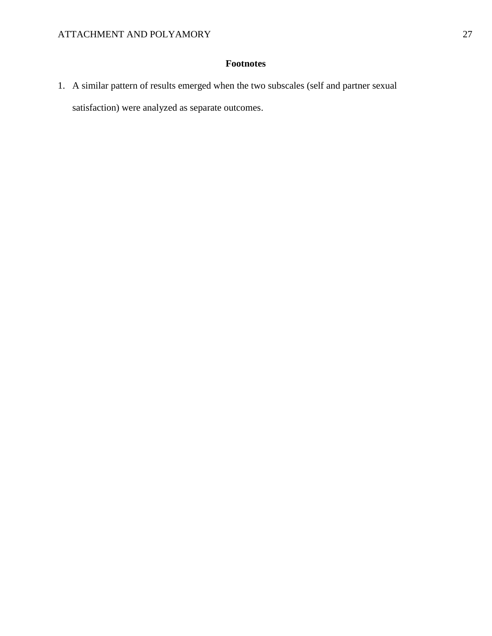## **Footnotes**

1. A similar pattern of results emerged when the two subscales (self and partner sexual satisfaction) were analyzed as separate outcomes.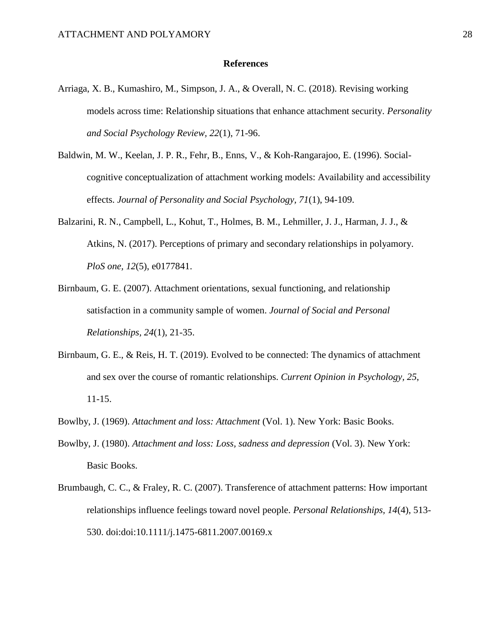#### **References**

- Arriaga, X. B., Kumashiro, M., Simpson, J. A., & Overall, N. C. (2018). Revising working models across time: Relationship situations that enhance attachment security. *Personality and Social Psychology Review, 22*(1), 71-96.
- Baldwin, M. W., Keelan, J. P. R., Fehr, B., Enns, V., & Koh-Rangarajoo, E. (1996). Socialcognitive conceptualization of attachment working models: Availability and accessibility effects. *Journal of Personality and Social Psychology, 71*(1), 94-109.
- Balzarini, R. N., Campbell, L., Kohut, T., Holmes, B. M., Lehmiller, J. J., Harman, J. J., & Atkins, N. (2017). Perceptions of primary and secondary relationships in polyamory. *PloS one, 12*(5), e0177841.
- Birnbaum, G. E. (2007). Attachment orientations, sexual functioning, and relationship satisfaction in a community sample of women. *Journal of Social and Personal Relationships, 24*(1), 21-35.
- Birnbaum, G. E., & Reis, H. T. (2019). Evolved to be connected: The dynamics of attachment and sex over the course of romantic relationships. *Current Opinion in Psychology, 25*, 11-15.
- Bowlby, J. (1969). *Attachment and loss: Attachment* (Vol. 1). New York: Basic Books.
- Bowlby, J. (1980). *Attachment and loss: Loss, sadness and depression* (Vol. 3). New York: Basic Books.
- Brumbaugh, C. C., & Fraley, R. C. (2007). Transference of attachment patterns: How important relationships influence feelings toward novel people. *Personal Relationships, 14*(4), 513- 530. doi:doi:10.1111/j.1475-6811.2007.00169.x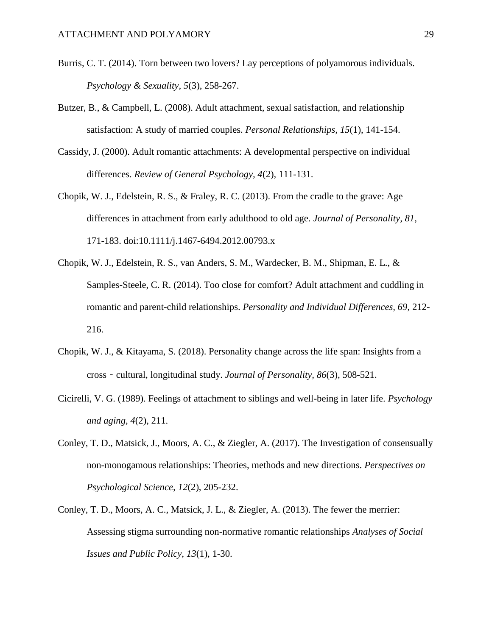- Burris, C. T. (2014). Torn between two lovers? Lay perceptions of polyamorous individuals. *Psychology & Sexuality, 5*(3), 258-267.
- Butzer, B., & Campbell, L. (2008). Adult attachment, sexual satisfaction, and relationship satisfaction: A study of married couples. *Personal Relationships, 15*(1), 141-154.
- Cassidy, J. (2000). Adult romantic attachments: A developmental perspective on individual differences. *Review of General Psychology, 4*(2), 111-131.
- Chopik, W. J., Edelstein, R. S., & Fraley, R. C. (2013). From the cradle to the grave: Age differences in attachment from early adulthood to old age. *Journal of Personality, 81*, 171-183. doi:10.1111/j.1467-6494.2012.00793.x
- Chopik, W. J., Edelstein, R. S., van Anders, S. M., Wardecker, B. M., Shipman, E. L., & Samples-Steele, C. R. (2014). Too close for comfort? Adult attachment and cuddling in romantic and parent-child relationships. *Personality and Individual Differences, 69*, 212- 216.
- Chopik, W. J., & Kitayama, S. (2018). Personality change across the life span: Insights from a cross‐cultural, longitudinal study. *Journal of Personality, 86*(3), 508-521.
- Cicirelli, V. G. (1989). Feelings of attachment to siblings and well-being in later life. *Psychology and aging, 4*(2), 211.
- Conley, T. D., Matsick, J., Moors, A. C., & Ziegler, A. (2017). The Investigation of consensually non-monogamous relationships: Theories, methods and new directions. *Perspectives on Psychological Science, 12*(2), 205-232.
- Conley, T. D., Moors, A. C., Matsick, J. L., & Ziegler, A. (2013). The fewer the merrier: Assessing stigma surrounding non-normative romantic relationships *Analyses of Social Issues and Public Policy, 13*(1), 1-30.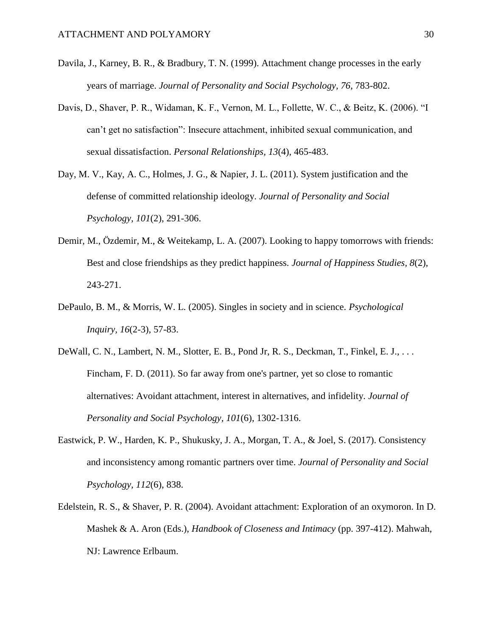- Davila, J., Karney, B. R., & Bradbury, T. N. (1999). Attachment change processes in the early years of marriage. *Journal of Personality and Social Psychology, 76*, 783-802.
- Davis, D., Shaver, P. R., Widaman, K. F., Vernon, M. L., Follette, W. C., & Beitz, K. (2006). "I can't get no satisfaction": Insecure attachment, inhibited sexual communication, and sexual dissatisfaction. *Personal Relationships, 13*(4), 465-483.
- Day, M. V., Kay, A. C., Holmes, J. G., & Napier, J. L. (2011). System justification and the defense of committed relationship ideology. *Journal of Personality and Social Psychology, 101*(2), 291-306.
- Demir, M., Özdemir, M., & Weitekamp, L. A. (2007). Looking to happy tomorrows with friends: Best and close friendships as they predict happiness. *Journal of Happiness Studies, 8*(2), 243-271.
- DePaulo, B. M., & Morris, W. L. (2005). Singles in society and in science. *Psychological Inquiry, 16*(2-3), 57-83.
- DeWall, C. N., Lambert, N. M., Slotter, E. B., Pond Jr, R. S., Deckman, T., Finkel, E. J., . . . Fincham, F. D. (2011). So far away from one's partner, yet so close to romantic alternatives: Avoidant attachment, interest in alternatives, and infidelity. *Journal of Personality and Social Psychology, 101*(6), 1302-1316.
- Eastwick, P. W., Harden, K. P., Shukusky, J. A., Morgan, T. A., & Joel, S. (2017). Consistency and inconsistency among romantic partners over time. *Journal of Personality and Social Psychology, 112*(6), 838.
- Edelstein, R. S., & Shaver, P. R. (2004). Avoidant attachment: Exploration of an oxymoron. In D. Mashek & A. Aron (Eds.), *Handbook of Closeness and Intimacy* (pp. 397-412). Mahwah, NJ: Lawrence Erlbaum.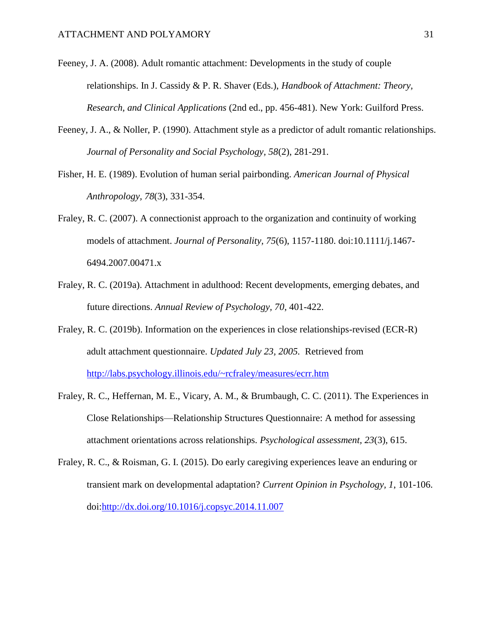- Feeney, J. A. (2008). Adult romantic attachment: Developments in the study of couple relationships. In J. Cassidy & P. R. Shaver (Eds.), *Handbook of Attachment: Theory, Research, and Clinical Applications* (2nd ed., pp. 456-481). New York: Guilford Press.
- Feeney, J. A., & Noller, P. (1990). Attachment style as a predictor of adult romantic relationships. *Journal of Personality and Social Psychology, 58*(2), 281-291.
- Fisher, H. E. (1989). Evolution of human serial pairbonding. *American Journal of Physical Anthropology, 78*(3), 331-354.
- Fraley, R. C. (2007). A connectionist approach to the organization and continuity of working models of attachment. *Journal of Personality, 75*(6), 1157-1180. doi:10.1111/j.1467- 6494.2007.00471.x
- Fraley, R. C. (2019a). Attachment in adulthood: Recent developments, emerging debates, and future directions. *Annual Review of Psychology, 70*, 401-422.
- Fraley, R. C. (2019b). Information on the experiences in close relationships-revised (ECR-R) adult attachment questionnaire. *Updated July 23, 2005.* Retrieved from http://labs.psychology.illinois.edu/~rcfraley/measures/ecrr.htm
- Fraley, R. C., Heffernan, M. E., Vicary, A. M., & Brumbaugh, C. C. (2011). The Experiences in Close Relationships—Relationship Structures Questionnaire: A method for assessing attachment orientations across relationships. *Psychological assessment, 23*(3), 615.
- Fraley, R. C., & Roisman, G. I. (2015). Do early caregiving experiences leave an enduring or transient mark on developmental adaptation? *Current Opinion in Psychology, 1*, 101-106. doi:http://dx.doi.org/10.1016/j.copsyc.2014.11.007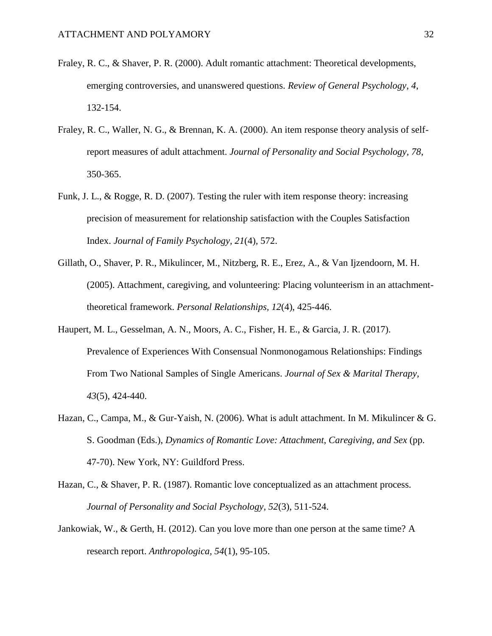- Fraley, R. C., & Shaver, P. R. (2000). Adult romantic attachment: Theoretical developments, emerging controversies, and unanswered questions. *Review of General Psychology, 4*, 132-154.
- Fraley, R. C., Waller, N. G., & Brennan, K. A. (2000). An item response theory analysis of selfreport measures of adult attachment. *Journal of Personality and Social Psychology, 78*, 350-365.
- Funk, J. L., & Rogge, R. D. (2007). Testing the ruler with item response theory: increasing precision of measurement for relationship satisfaction with the Couples Satisfaction Index. *Journal of Family Psychology, 21*(4), 572.
- Gillath, O., Shaver, P. R., Mikulincer, M., Nitzberg, R. E., Erez, A., & Van Ijzendoorn, M. H. (2005). Attachment, caregiving, and volunteering: Placing volunteerism in an attachmenttheoretical framework. *Personal Relationships, 12*(4), 425-446.
- Haupert, M. L., Gesselman, A. N., Moors, A. C., Fisher, H. E., & Garcia, J. R. (2017). Prevalence of Experiences With Consensual Nonmonogamous Relationships: Findings From Two National Samples of Single Americans. *Journal of Sex & Marital Therapy, 43*(5), 424-440.
- Hazan, C., Campa, M., & Gur-Yaish, N. (2006). What is adult attachment. In M. Mikulincer & G. S. Goodman (Eds.), *Dynamics of Romantic Love: Attachment, Caregiving, and Sex* (pp. 47-70). New York, NY: Guildford Press.
- Hazan, C., & Shaver, P. R. (1987). Romantic love conceptualized as an attachment process. *Journal of Personality and Social Psychology, 52*(3), 511-524.
- Jankowiak, W., & Gerth, H. (2012). Can you love more than one person at the same time? A research report. *Anthropologica, 54*(1), 95-105.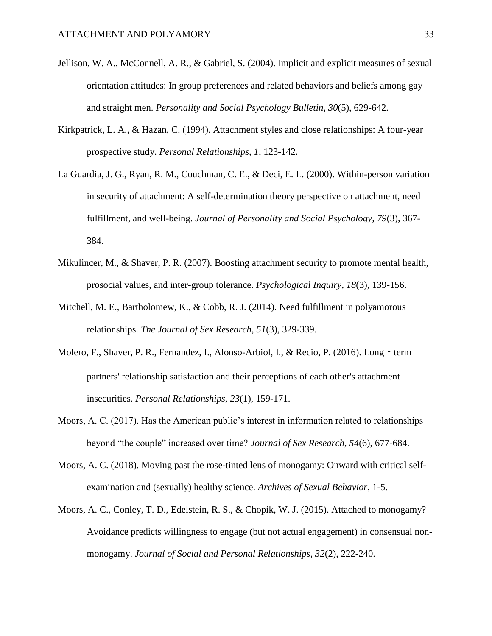- Jellison, W. A., McConnell, A. R., & Gabriel, S. (2004). Implicit and explicit measures of sexual orientation attitudes: In group preferences and related behaviors and beliefs among gay and straight men. *Personality and Social Psychology Bulletin, 30*(5), 629-642.
- Kirkpatrick, L. A., & Hazan, C. (1994). Attachment styles and close relationships: A four-year prospective study. *Personal Relationships, 1*, 123-142.
- La Guardia, J. G., Ryan, R. M., Couchman, C. E., & Deci, E. L. (2000). Within-person variation in security of attachment: A self-determination theory perspective on attachment, need fulfillment, and well-being. *Journal of Personality and Social Psychology, 79*(3), 367- 384.
- Mikulincer, M., & Shaver, P. R. (2007). Boosting attachment security to promote mental health, prosocial values, and inter-group tolerance. *Psychological Inquiry, 18*(3), 139-156.
- Mitchell, M. E., Bartholomew, K., & Cobb, R. J. (2014). Need fulfillment in polyamorous relationships. *The Journal of Sex Research, 51*(3), 329-339.
- Molero, F., Shaver, P. R., Fernandez, I., Alonso-Arbiol, I., & Recio, P. (2016). Long term partners' relationship satisfaction and their perceptions of each other's attachment insecurities. *Personal Relationships, 23*(1), 159-171.
- Moors, A. C. (2017). Has the American public's interest in information related to relationships beyond "the couple" increased over time? *Journal of Sex Research, 54*(6), 677-684.
- Moors, A. C. (2018). Moving past the rose-tinted lens of monogamy: Onward with critical selfexamination and (sexually) healthy science. *Archives of Sexual Behavior*, 1-5.
- Moors, A. C., Conley, T. D., Edelstein, R. S., & Chopik, W. J. (2015). Attached to monogamy? Avoidance predicts willingness to engage (but not actual engagement) in consensual nonmonogamy. *Journal of Social and Personal Relationships, 32*(2), 222-240.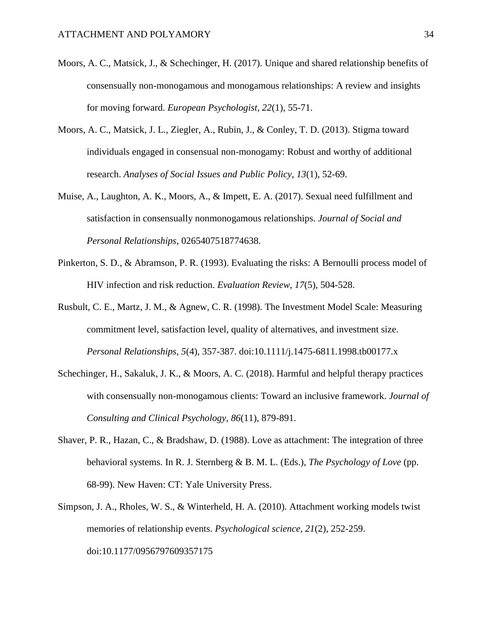- Moors, A. C., Matsick, J., & Schechinger, H. (2017). Unique and shared relationship benefits of consensually non-monogamous and monogamous relationships: A review and insights for moving forward. *European Psychologist, 22*(1), 55-71.
- Moors, A. C., Matsick, J. L., Ziegler, A., Rubin, J., & Conley, T. D. (2013). Stigma toward individuals engaged in consensual non-monogamy: Robust and worthy of additional research. *Analyses of Social Issues and Public Policy, 13*(1), 52-69.
- Muise, A., Laughton, A. K., Moors, A., & Impett, E. A. (2017). Sexual need fulfillment and satisfaction in consensually nonmonogamous relationships. *Journal of Social and Personal Relationships*, 0265407518774638.
- Pinkerton, S. D., & Abramson, P. R. (1993). Evaluating the risks: A Bernoulli process model of HIV infection and risk reduction. *Evaluation Review, 17*(5), 504-528.
- Rusbult, C. E., Martz, J. M., & Agnew, C. R. (1998). The Investment Model Scale: Measuring commitment level, satisfaction level, quality of alternatives, and investment size. *Personal Relationships, 5*(4), 357-387. doi:10.1111/j.1475-6811.1998.tb00177.x
- Schechinger, H., Sakaluk, J. K., & Moors, A. C. (2018). Harmful and helpful therapy practices with consensually non-monogamous clients: Toward an inclusive framework. *Journal of Consulting and Clinical Psychology, 86*(11), 879-891.
- Shaver, P. R., Hazan, C., & Bradshaw, D. (1988). Love as attachment: The integration of three behavioral systems. In R. J. Sternberg & B. M. L. (Eds.), *The Psychology of Love* (pp. 68-99). New Haven: CT: Yale University Press.
- Simpson, J. A., Rholes, W. S., & Winterheld, H. A. (2010). Attachment working models twist memories of relationship events. *Psychological science, 21*(2), 252-259. doi:10.1177/0956797609357175